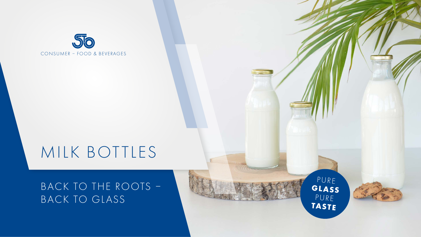

# MILK BOTTLES

## BACK TO THE ROOTS – BACK TO GLASS

PURE **GLASS** PURE **TASTE**

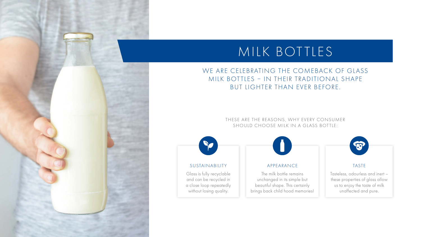# MILK BOTTLES

### WE ARE CELEBRATING THE COMEBACK OF GLASS MILK BOTTLES - IN THEIR TRADITIONAL SHAPE BUT LIGHTER THAN EVER BEFORE.

THESE ARE THE REASONS, WHY EVERY CONSUMER SHOULD CHOOSE MILK IN A GLASS BOTTLE:



#### SUSTAINABILITY

Glass is fully recyclable and can be recycled in a close loop repeatedly without losing quality.

 $\bullet$ 

#### APPEARANCE

The milk bottle remains unchanged in its simple but beautiful shape. This certainly brings back child hood memories!  $\bullet$ 

#### TASTE

Tasteless, odourless and inert – these properties of glass allow us to enjoy the taste of milk unaffected and pure.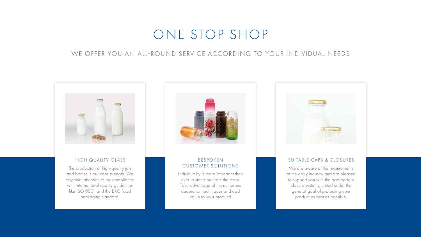## ONE STOP SHOP

### WE OFFER YOU AN ALL-ROUND SERVICE ACCORDING TO YOUR INDIVIDUAL NEEDS



#### HIGH QUALITY GLASS

The production of high-quality jars and bottles is our core strength. We pay strict attention to the compliance with international quality guidelines like ISO 9001 and the BRC Food packaging standard.



#### BESPOKEN CUSTOMER SOLUTIONS

Individuality is more important than ever to stand out from the mass. Take advantage of the numerous decoration techniques and add value to your product!



#### SUITABLE CAPS & CLOSURES

We are aware of the requirements of the dairy industry and are pleased to support you with the appropriate closure systems, united under the general goal of protecting your product as best as possible.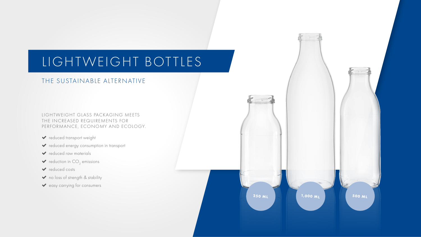# LIGHTWEIGHT BOTTLES

### THE SUSTAINABLE ALTERNATIVE

LIGHTWEIGHT GLASS PACKAGING MEETS THE INCREASED REQUIREMENTS FOR PERFORMANCE, ECONOMY AND ECOLOGY.

- reduced transport weight
- reduced energy consumption in transport
- v reduced raw materials
- $\blacktriangleright$  reduction in CO<sub>2</sub> emissions
- reduced costs
- ◆ no loss of strength & stability
- easy carrying for consumers

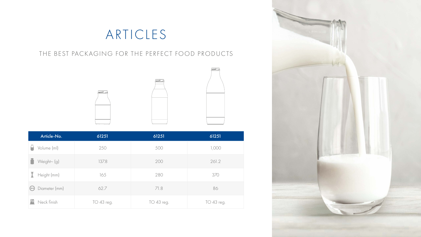## ARTICLES

## THE BEST PACKAGING FOR THE PERFECT FOOD PRODUCTS





| Article-No.                        | 61251      | 61251      | 61251      |
|------------------------------------|------------|------------|------------|
| Volume (ml)                        | 250        | 500        | 1,000      |
| Weight~ (g)                        | 137.8      | 200        | 261.2      |
| I<br>Height (mm)                   | 165        | 280        | 370        |
| Diameter (mm)<br>$\leftrightarrow$ | 62.7       | 71.8       | 86         |
| Neck finish                        | TO 43 reg. | TO 43 reg. | TO 43 reg. |

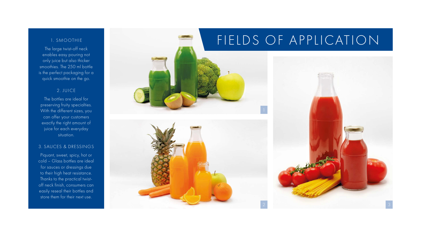#### 1. SMOOTHIE

The large twist-off neck enables easy pouring not only juice but also thicker smoothies. The 250 ml bottle is the perfect packaging for a quick smoothie on the go.

#### 2. JUICE

The bottles are ideal for preserving fruity specialties. With the different sizes, you can offer your customers exactly the right amount of juice for each everyday situation.

#### 3. SAUCES & DRESSINGS

Piquant, sweet, spicy, hot or cold – Glass bottles are ideal for sauces or dressings due to their high heat resistance. Thanks to the practical twistoff neck finish, consumers can easily reseal their bottles and store them for their next use.